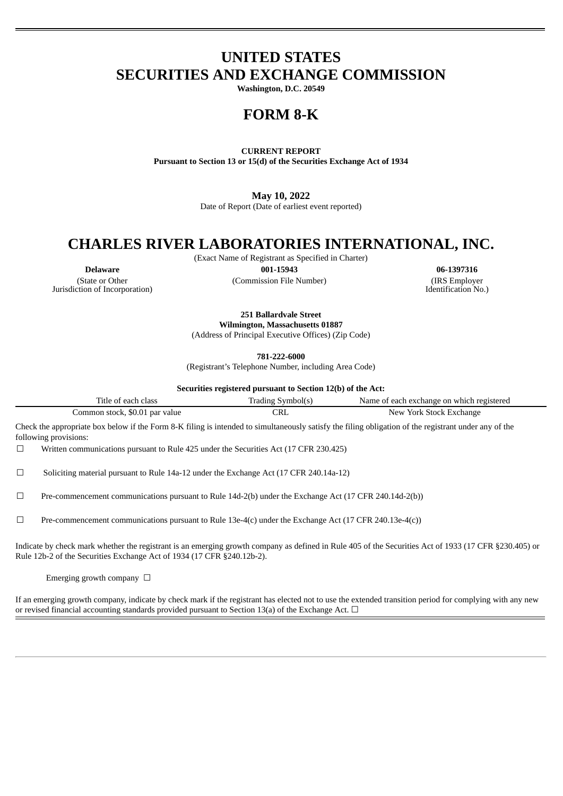# **UNITED STATES SECURITIES AND EXCHANGE COMMISSION**

**Washington, D.C. 20549**

### **FORM 8-K**

**CURRENT REPORT**

**Pursuant to Section 13 or 15(d) of the Securities Exchange Act of 1934**

**May 10, 2022**

Date of Report (Date of earliest event reported)

# **CHARLES RIVER LABORATORIES INTERNATIONAL, INC.**

(Exact Name of Registrant as Specified in Charter)

(State or Other Jurisdiction of Incorporation)

**Delaware 001-15943 06-1397316** (Commission File Number) (IRS Employer

Identification No.)

**251 Ballardvale Street Wilmington, Massachusetts 01887**

(Address of Principal Executive Offices) (Zip Code)

**781-222-6000**

(Registrant's Telephone Number, including Area Code)

**Securities registered pursuant to Section 12(b) of the Act:**

| Title of each class            | Trading Symbol(s)               | Name of each exchange on which registered |
|--------------------------------|---------------------------------|-------------------------------------------|
| Common stock, \$0.01 par value | $\mathbin{\subset} \mathsf{RL}$ | New York Stock Exchange                   |

Check the appropriate box below if the Form 8-K filing is intended to simultaneously satisfy the filing obligation of the registrant under any of the following provisions:

☐ Written communications pursuant to Rule 425 under the Securities Act (17 CFR 230.425)

☐ Soliciting material pursuant to Rule 14a-12 under the Exchange Act (17 CFR 240.14a-12)

 $\Box$  Pre-commencement communications pursuant to Rule 14d-2(b) under the Exchange Act (17 CFR 240.14d-2(b))

☐ Pre-commencement communications pursuant to Rule 13e-4(c) under the Exchange Act (17 CFR 240.13e-4(c))

Indicate by check mark whether the registrant is an emerging growth company as defined in Rule 405 of the Securities Act of 1933 (17 CFR §230.405) or Rule 12b-2 of the Securities Exchange Act of 1934 (17 CFR §240.12b-2).

Emerging growth company  $\Box$ 

If an emerging growth company, indicate by check mark if the registrant has elected not to use the extended transition period for complying with any new or revised financial accounting standards provided pursuant to Section 13(a) of the Exchange Act.  $\Box$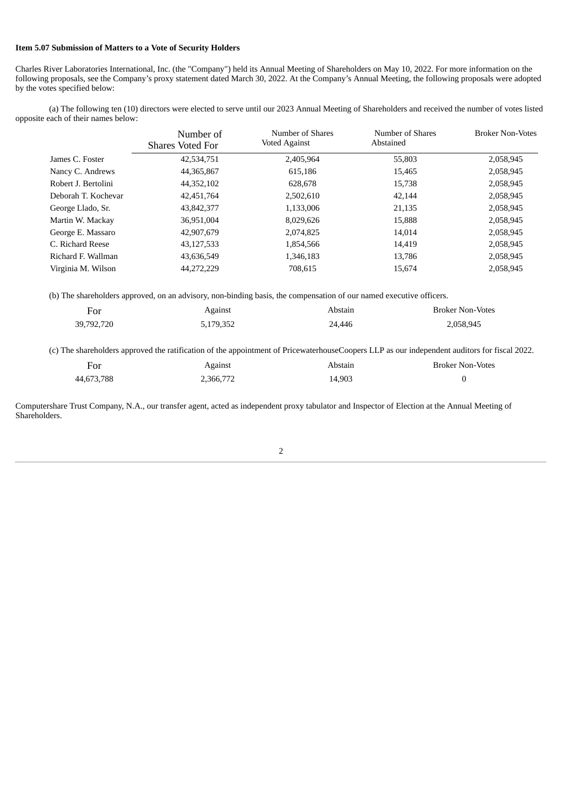#### **Item 5.07 Submission of Matters to a Vote of Security Holders**

Charles River Laboratories International, Inc. (the "Company") held its Annual Meeting of Shareholders on May 10, 2022. For more information on the following proposals, see the Company's proxy statement dated March 30, 2022. At the Company's Annual Meeting, the following proposals were adopted by the votes specified below:

(a) The following ten (10) directors were elected to serve until our 2023 Annual Meeting of Shareholders and received the number of votes listed opposite each of their names below:

|                     | Number of<br><b>Shares Voted For</b> | Number of Shares<br><b>Voted Against</b> | Number of Shares<br>Abstained | <b>Broker Non-Votes</b> |
|---------------------|--------------------------------------|------------------------------------------|-------------------------------|-------------------------|
| James C. Foster     | 42,534,751                           | 2.405.964                                | 55,803                        | 2,058,945               |
| Nancy C. Andrews    | 44,365,867                           | 615,186                                  | 15,465                        | 2,058,945               |
| Robert J. Bertolini | 44,352,102                           | 628,678                                  | 15,738                        | 2,058,945               |
| Deborah T. Kochevar | 42,451,764                           | 2,502,610                                | 42,144                        | 2,058,945               |
| George Llado, Sr.   | 43,842,377                           | 1,133,006                                | 21,135                        | 2,058,945               |
| Martin W. Mackay    | 36,951,004                           | 8,029,626                                | 15,888                        | 2,058,945               |
| George E. Massaro   | 42,907,679                           | 2,074,825                                | 14.014                        | 2,058,945               |
| C. Richard Reese    | 43,127,533                           | 1,854,566                                | 14,419                        | 2,058,945               |
| Richard F. Wallman  | 43,636,549                           | 1,346,183                                | 13.786                        | 2,058,945               |
| Virginia M. Wilson  | 44,272,229                           | 708.615                                  | 15,674                        | 2,058,945               |

(b) The shareholders approved, on an advisory, non-binding basis, the compensation of our named executive officers.

| For        | Against   | Abstain | <b>Broker Non-Votes</b> |
|------------|-----------|---------|-------------------------|
| 39,792,720 | 5,179,352 | 24.446  | 2,058,945               |

(c) The shareholders approved the ratification of the appointment of PricewaterhouseCoopers LLP as our independent auditors for fiscal 2022.

| For        | Against   | Abstain | <b>Broker Non-Votes</b> |
|------------|-----------|---------|-------------------------|
| 44,673,788 | 2,366,772 | 14,903  |                         |

Computershare Trust Company, N.A., our transfer agent, acted as independent proxy tabulator and Inspector of Election at the Annual Meeting of Shareholders.